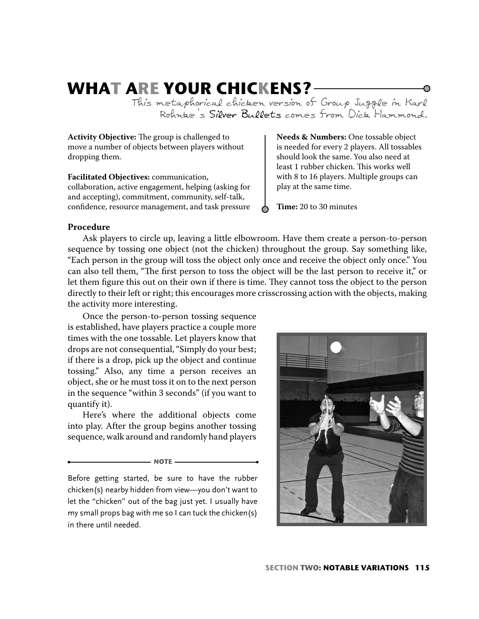# **WHAT ARE YOUR CHICKENS?**

This metaphorical chicken version of Group Juggle in Karl Rohnke's Silver Bullets comes from Dick Hammond.

Activity Objective: The group is challenged to move a number of objects between players without dropping them.

**Facilitated Objectives:** communication, collaboration, active engagement, helping (asking for and accepting), commitment, community, self-talk, confidence, resource management, and task pressure **Needs & Numbers:** One tossable object is needed for every 2 players. All tossables should look the same. You also need at least 1 rubber chicken. This works well with 8 to 16 players. Multiple groups can play at the same time.

**Time:** 20 to 30 minutes

### **Procedure**

Ask players to circle up, leaving a little elbowroom. Have them create a person-to-person sequence by tossing one object (not the chicken) throughout the group. Say something like, "Each person in the group will toss the object only once and receive the object only once." You can also tell them, "The first person to toss the object will be the last person to receive it," or let them figure this out on their own if there is time. They cannot toss the object to the person directly to their left or right; this encourages more crisscrossing action with the objects, making the activity more interesting.

Once the person-to-person tossing sequence is established, have players practice a couple more times with the one tossable. Let players know that drops are not consequential, "Simply do your best; if there is a drop, pick up the object and continue tossing." Also, any time a person receives an object, she or he must toss it on to the next person in the sequence "within 3 seconds" (if you want to quantify it).

Here's where the additional objects come into play. After the group begins another tossing sequence, walk around and randomly hand players

**NOTE** 

Before getting started, be sure to have the rubber chicken(s) nearby hidden from view—you don't want to let the "chicken" out of the bag just yet. I usually have my small props bag with me so I can tuck the chicken(s) in there until needed.

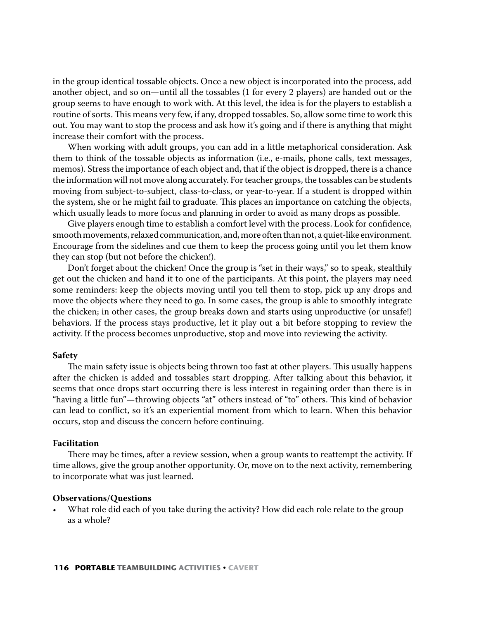in the group identical tossable objects. Once a new object is incorporated into the process, add another object, and so on—until all the tossables (1 for every 2 players) are handed out or the group seems to have enough to work with. At this level, the idea is for the players to establish a routine of sorts. This means very few, if any, dropped tossables. So, allow some time to work this out. You may want to stop the process and ask how it's going and if there is anything that might increase their comfort with the process.

When working with adult groups, you can add in a little metaphorical consideration. Ask them to think of the tossable objects as information (i.e., e-mails, phone calls, text messages, memos). Stress the importance of each object and, that if the object is dropped, there is a chance the information will not move along accurately. For teacher groups, the tossables can be students moving from subject-to-subject, class-to-class, or year-to-year. If a student is dropped within the system, she or he might fail to graduate. This places an importance on catching the objects, which usually leads to more focus and planning in order to avoid as many drops as possible.

Give players enough time to establish a comfort level with the process. Look for confidence, smooth movements, relaxed communication, and, more often than not, a quiet-like environment. Encourage from the sidelines and cue them to keep the process going until you let them know they can stop (but not before the chicken!).

Don't forget about the chicken! Once the group is "set in their ways," so to speak, stealthily get out the chicken and hand it to one of the participants. At this point, the players may need some reminders: keep the objects moving until you tell them to stop, pick up any drops and move the objects where they need to go. In some cases, the group is able to smoothly integrate the chicken; in other cases, the group breaks down and starts using unproductive (or unsafe!) behaviors. If the process stays productive, let it play out a bit before stopping to review the activity. If the process becomes unproductive, stop and move into reviewing the activity.

#### **Safety**

The main safety issue is objects being thrown too fast at other players. This usually happens after the chicken is added and tossables start dropping. After talking about this behavior, it seems that once drops start occurring there is less interest in regaining order than there is in "having a little fun"—throwing objects "at" others instead of "to" others. This kind of behavior can lead to conflict, so it's an experiential moment from which to learn. When this behavior occurs, stop and discuss the concern before continuing.

#### **Facilitation**

There may be times, after a review session, when a group wants to reattempt the activity. If time allows, give the group another opportunity. Or, move on to the next activity, remembering to incorporate what was just learned.

#### **Observations/Questions**

What role did each of you take during the activity? How did each role relate to the group as a whole?